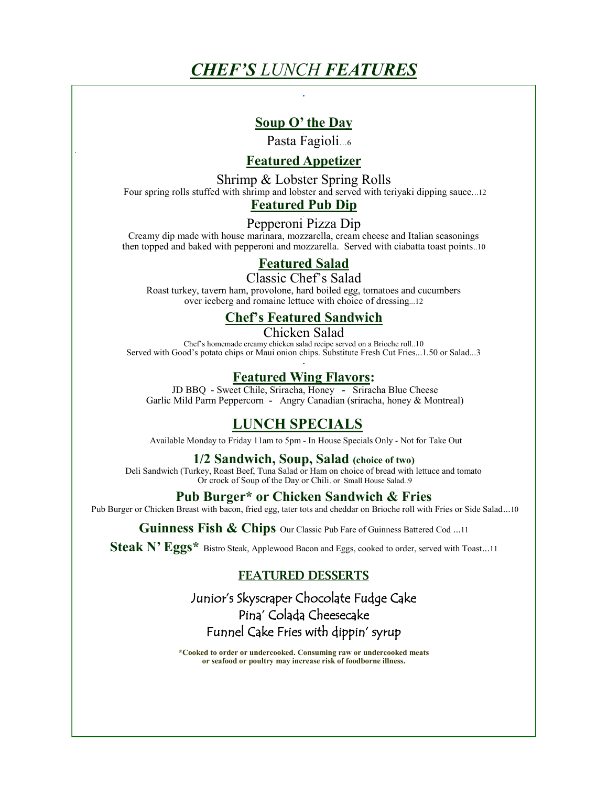# *CHEF'S LUNCH FEATURES*

**.** 

# **Soup O' the Day**

Pasta Fagioli…6

# **Featured Appetizer**

Shrimp & Lobster Spring Rolls Four spring rolls stuffed with shrimp and lobster and served with teriyaki dipping sauce...12 **Featured Pub Dip**

Pepperoni Pizza Dip

Creamy dip made with house marinara, mozzarella, cream cheese and Italian seasonings then topped and baked with pepperoni and mozzarella. Served with ciabatta toast points..10

# **Featured Salad**

Classic Chef's Salad Roast turkey, tavern ham, provolone, hard boiled egg, tomatoes and cucumbers over iceberg and romaine lettuce with choice of dressing...12 

# **Chef's Featured Sandwich**

Chicken Salad Chef's homemade creamy chicken salad recipe served on a Brioche roll..10 Served with Good's potato chips or Maui onion chips. Substitute Fresh Cut Fries...1.50 or Salad...3

## **Featured Wing Flavors:**

JD BBQ - Sweet Chile, Sriracha, Honey **-** Sriracha Blue Cheese Garlic Mild Parm Peppercorn **-** Angry Canadian (sriracha, honey & Montreal)

# **LUNCH SPECIALS**

Available Monday to Friday 11am to 5pm - In House Specials Only - Not for Take Out

### **1/2 Sandwich, Soup, Salad (choice of two)**

Deli Sandwich (Turkey, Roast Beef, Tuna Salad or Ham on choice of bread with lettuce and tomato Or crock of Soup of the Day or Chili. or Small House Salad..9

## **Pub Burger\* or Chicken Sandwich & Fries**

Pub Burger or Chicken Breast with bacon, fried egg, tater tots and cheddar on Brioche roll with Fries or Side Salad...10

Guinness Fish & Chips Our Classic Pub Fare of Guinness Battered Cod ...11

Steak N' Eggs\* Bistro Steak, Applewood Bacon and Eggs, cooked to order, served with Toast...11

# FEATURED DESSERTS

# Junior's Skyscraper Chocolate Fudge Cake Pina' Colada Cheesecake Funnel Cake Fries with dippin' syrup

**\*Cooked to order or undercooked. Consuming raw or undercooked meats or seafood or poultry may increase risk of foodborne illness.**